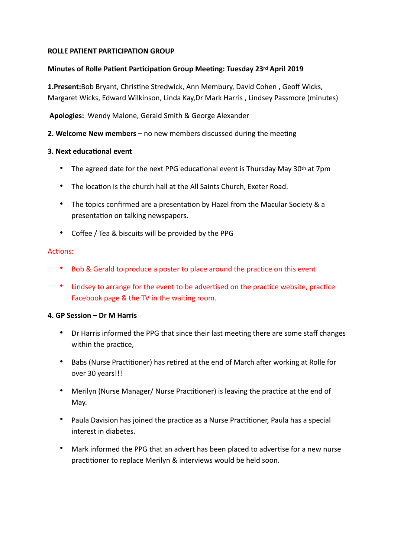### **ROLLE PATIENT PARTICIPATION GROUP**

### **Minutes of Rolle Patient Participation Group Meeting: Tuesday 23rd April 2019**

**1.Present:**Bob Bryant, Christine Stredwick, Ann Membury, David Cohen, Geoff Wicks, Margaret Wicks, Edward Wilkinson, Linda Kay,Dr Mark Harris , Lindsey Passmore (minutes)

 **Apologies:** Wendy Malone, Gerald Smith & George Alexander

**2. Welcome New members** – no new members discussed during the meeting

### **3. Next educational event**

- The agreed date for the next PPG educational event is Thursday May 30<sup>th</sup> at 7pm
- The location is the church hall at the All Saints Church, Exeter Road.
- The topics confirmed are a presentation by Hazel from the Macular Society  $\&$  a presentation on talking newspapers.
- Coffee / Tea & biscuits will be provided by the PPG

### Actions:

- Bob & Gerald to produce a poster to place around the practice on this event
- Lindsey to arrange for the event to be advertised on the practice website, practice Facebook page & the TV in the waiting room.

### **4. GP Session – Dr M Harris**

- Dr Harris informed the PPG that since their last meeting there are some staff changes within the practice,
- Babs (Nurse Practitioner) has retired at the end of March after working at Rolle for over 30 years!!!
- Merilyn (Nurse Manager/ Nurse Practitioner) is leaving the practice at the end of May.
- Paula Davision has joined the practice as a Nurse Practitioner, Paula has a special interest in diabetes.
- Mark informed the PPG that an advert has been placed to advertise for a new nurse practitioner to replace Merilyn & interviews would be held soon.